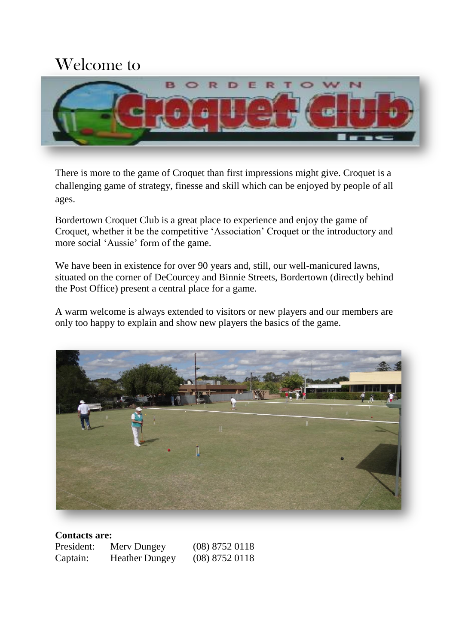## Welcome to



There is more to the game of Croquet than first impressions might give. Croquet is a challenging game of strategy, finesse and skill which can be enjoyed by people of all ages.

Bordertown Croquet Club is a great place to experience and enjoy the game of Croquet, whether it be the competitive 'Association' Croquet or the introductory and more social 'Aussie' form of the game.

We have been in existence for over 90 years and, still, our well-manicured lawns, situated on the corner of DeCourcey and Binnie Streets, Bordertown (directly behind the Post Office) present a central place for a game.

A warm welcome is always extended to visitors or new players and our members are only too happy to explain and show new players the basics of the game.



| <b>Contacts are:</b> |                       |                  |  |
|----------------------|-----------------------|------------------|--|
| President:           | Mery Dungey           | $(08)$ 8752 0118 |  |
| Captain:             | <b>Heather Dungey</b> | $(08)$ 8752 0118 |  |